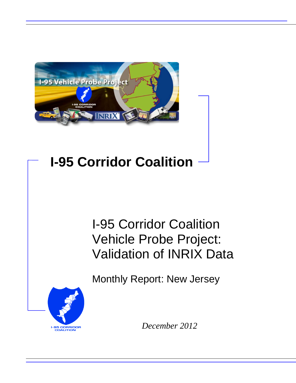

# **I-95 Corridor Coalition**

## I-95 Corridor Coalition Vehicle Probe Project: Validation of INRIX Data

Monthly Report: New Jersey



*December 2012*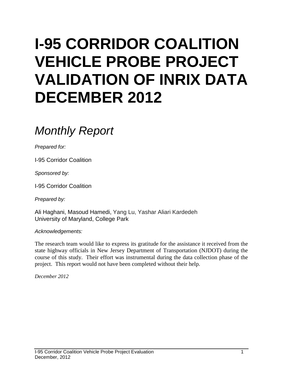# **I-95 CORRIDOR COALITION VEHICLE PROBE PROJECT VALIDATION OF INRIX DATA DECEMBER 2012**

### *Monthly Report*

*Prepared for:*

I-95 Corridor Coalition

*Sponsored by:*

I-95 Corridor Coalition

*Prepared by:*

Ali Haghani, Masoud Hamedi, Yang Lu, Yashar Aliari Kardedeh University of Maryland, College Park

*Acknowledgements:*

The research team would like to express its gratitude for the assistance it received from the state highway officials in New Jersey Department of Transportation (NJDOT) during the course of this study. Their effort was instrumental during the data collection phase of the project. This report would not have been completed without their help.

*December 2012*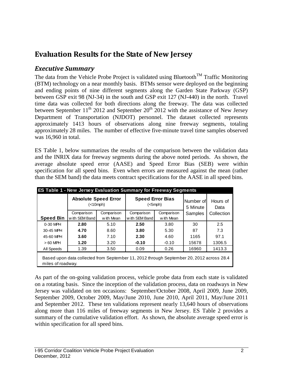### **Evaluation Results for the State of New Jersey**

#### *Executive Summary*

The data from the Vehicle Probe Project is validated using Bluetooth<sup>TM</sup> Traffic Monitoring (BTM) technology on a near monthly basis. BTMs sensor were deployed on the beginning and ending points of nine different segments along the Garden State Parkway (GSP) between GSP exit 98 (NJ-34) in the south and GSP exit 127 (NJ-440) in the north. Travel time data was collected for both directions along the freeway. The data was collected between September  $11^{th}$  2012 and September  $20^{th}$  2012 with the assistance of New Jersey Department of Transportation (NJDOT) personnel. The dataset collected represents approximately 1413 hours of observations along nine freeway segments, totaling approximately 28 miles. The number of effective five-minute travel time samples observed was 16,960 in total.

ES Table 1, below summarizes the results of the comparison between the validation data and the INRIX data for freeway segments during the above noted periods. As shown, the average absolute speed error (AASE) and Speed Error Bias (SEB) were within specification for all speed bins. Even when errors are measured against the mean (rather than the SEM band) the data meets contract specifications for the AASE in all speed bins.

|                  | <b>ES Table 1 - New Jersey Evaluation Summary for Freeway Segments</b>                                        |            |                                                    |            |                       |                  |  |  |  |  |  |  |
|------------------|---------------------------------------------------------------------------------------------------------------|------------|----------------------------------------------------|------------|-----------------------|------------------|--|--|--|--|--|--|
|                  | <b>Absolute Speed Error</b><br>(<10 mph)                                                                      |            | <b>Speed Error Bias</b><br>$(<5$ mph $)$           |            | Number of<br>5 Minute | Hours of<br>Data |  |  |  |  |  |  |
|                  | Comparison                                                                                                    | Comparison | Comparison                                         | Comparison | Samples               | Collection       |  |  |  |  |  |  |
| <b>Speed Bin</b> | with SEM Band<br>w ith Mean                                                                                   |            | w ith Mean<br>w ith SEM Band                       |            |                       |                  |  |  |  |  |  |  |
| 0-30 MPH         | 2.80                                                                                                          | 5.10       | 2.50                                               | 3.80       | 30                    | 2.5              |  |  |  |  |  |  |
| 30-45 MPH        | 4.70<br>8.60<br>3.60<br>7.10<br>3.20<br>1.20                                                                  |            | 5.30<br>3.80<br>2.30<br>4.60<br>$-0.10$<br>$-0.10$ |            | 87                    | 7.3              |  |  |  |  |  |  |
| 45-60 MPH        |                                                                                                               |            |                                                    |            | 1165                  | 97.1             |  |  |  |  |  |  |
| $>60$ MPH        |                                                                                                               |            |                                                    |            | 15678                 | 1306.5           |  |  |  |  |  |  |
| All Speeds       | 1.39                                                                                                          | 3.50       | 0.09                                               | 0.26       | 16960                 | 1413.3           |  |  |  |  |  |  |
|                  | Based upon data collected from September 11, 2012 through September 20, 2012 across 28.4<br>miles of roadway. |            |                                                    |            |                       |                  |  |  |  |  |  |  |

As part of the on-going validation process, vehicle probe data from each state is validated on a rotating basis. Since the inception of the validation process, data on roadways in New Jersey was validated on ten occasions: September/October 2008, April 2009, June 2009, September 2009, October 2009, May/June 2010, June 2010, April 2011, May/June 2011 and September 2012. These ten validations represent nearly 13,640 hours of observations along more than 116 miles of freeway segments in New Jersey. ES Table 2 provides a summary of the cumulative validation effort. As shown, the absolute average speed error is within specification for all speed bins.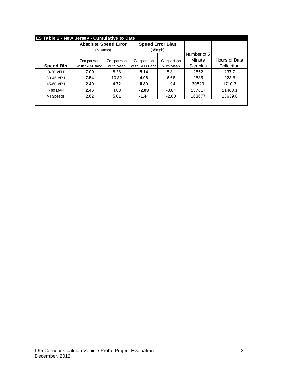|                  | <b>Absolute Speed Error</b> |            | <b>Speed Error Bias</b> |            |                |               |
|------------------|-----------------------------|------------|-------------------------|------------|----------------|---------------|
|                  | $(<10$ mph $)$              |            | (<5mph)                 |            |                |               |
|                  |                             |            |                         |            | Number of 5    |               |
|                  | Comparison                  | Comparison | Comparison              | Comparison | Minute         | Hours of Data |
| <b>Speed Bin</b> | with SEM Band               | w ith Mean | with SEM Band           | w ith Mean | <b>Samples</b> | Collection    |
| $0-30$ MPH       | 7.09                        | 8.38       | 5.14                    | 5.81       | 2852           | 237.7         |
| 30-45 MPH        | 7.54                        | 10.32      | 4.98                    | 6.68       | 2685           | 223.8         |
| 45-60 MPH        | 2.40                        | 4.72       | 0.80                    | 1.94       | 20523          | 1710.3        |
| $>60$ MPH        | 2.46                        | 4.88       | $-2.03$                 | $-3.64$    | 137617         | 11468.1       |
| All Speeds       | 2.62                        | 5.01       | $-1.44$                 | $-2.60$    | 163677         | 13639.8       |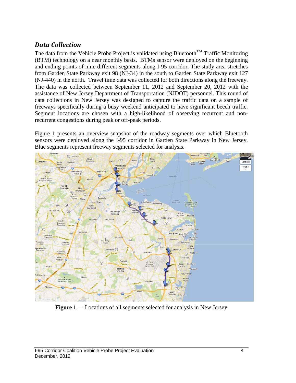#### *Data Collection*

The data from the Vehicle Probe Project is validated using Bluetooth<sup>TM</sup> Traffic Monitoring (BTM) technology on a near monthly basis. BTMs sensor were deployed on the beginning and ending points of nine different segments along I-95 corridor. The study area stretches from Garden State Parkway exit 98 (NJ-34) in the south to Garden State Parkway exit 127 (NJ-440) in the north. Travel time data was collected for both directions along the freeway. The data was collected between September 11, 2012 and September 20, 2012 with the assistance of New Jersey Department of Transportation (NJDOT) personnel. This round of data collections in New Jersey was designed to capture the traffic data on a sample of freeways specifically during a busy weekend anticipated to have significant beech traffic. Segment locations are chosen with a high-likelihood of observing recurrent and nonrecurrent congestions during peak or off-peak periods.

Figure 1 presents an overview snapshot of the roadway segments over which Bluetooth sensors were deployed along the I-95 corridor in Garden State Parkway in New Jersey. Blue segments represent freeway segments selected for analysis.



**Figure 1** — Locations of all segments selected for analysis in New Jersey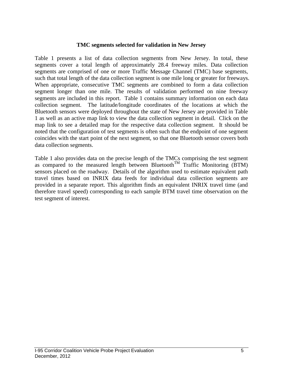#### **TMC segments selected for validation in New Jersey**

Table 1 presents a list of data collection segments from New Jersey. In total, these segments cover a total length of approximately 28.4 freeway miles. Data collection segments are comprised of one or more Traffic Message Channel (TMC) base segments, such that total length of the data collection segment is one mile long or greater for freeways. When appropriate, consecutive TMC segments are combined to form a data collection segment longer than one mile. The results of validation performed on nine freeway segments are included in this report. Table 1 contains summary information on each data collection segment. The latitude/longitude coordinates of the locations at which the Bluetooth sensors were deployed throughout the state of New Jersey are provided in Table 1 as well as an active map link to view the data collection segment in detail. Click on the map link to see a detailed map for the respective data collection segment. It should be noted that the configuration of test segments is often such that the endpoint of one segment coincides with the start point of the next segment, so that one Bluetooth sensor covers both data collection segments.

Table 1 also provides data on the precise length of the TMCs comprising the test segment as compared to the measured length between Bluetooth<sup>TM</sup> Traffic Monitoring (BTM) sensors placed on the roadway. Details of the algorithm used to estimate equivalent path travel times based on INRIX data feeds for individual data collection segments are provided in a separate report. This algorithm finds an equivalent INRIX travel time (and therefore travel speed) corresponding to each sample BTM travel time observation on the test segment of interest.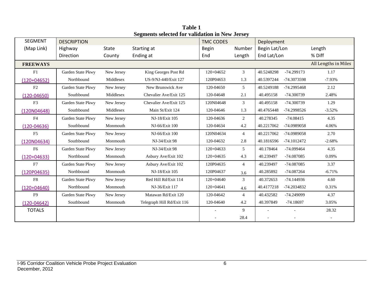| <b>SEGMENT</b>  | <b>DESCRIPTION</b> | $\alpha$ and $\alpha$ selected for vandation in Fig. serior, | <b>TMC CODES</b>           |              | Deployment     |               |              |                      |
|-----------------|--------------------|--------------------------------------------------------------|----------------------------|--------------|----------------|---------------|--------------|----------------------|
| (Map Link)      | Highway            | State                                                        | Starting at                | <b>Begin</b> | Number         | Begin Lat/Lon |              | Length               |
|                 | Direction          | County                                                       | Ending at                  | End          | Length         | End Lat/Lon   |              | % Diff               |
| <b>FREEWAYS</b> |                    |                                                              |                            |              |                |               |              | All Lengths in Miles |
| F1              | Garden State Pkwy  | New Jersey                                                   | King Georges Post Rd       | 120+04652    | 3              | 40.5248298    | -74.299173   | 1.17                 |
| $(120+04652)$   | Northbound         | Middlesex                                                    | US-9/NJ-440/Exit 127       | 120P04653    | 1.3            | 40.5397244    | -74.3073598  | $-7.93%$             |
| F2              | Garden State Pkwy  | New Jersey                                                   | New Brunswick Ave          | 120-04650    | 5              | 40.5249188    | -74.2995468  | 2.12                 |
| $(120 - 04650)$ | Southbound         | Middlesex                                                    | Chevalier Ave/Exit 125     | 120-04648    | 2.1            | 40.495158     | -74.300739   | 2.48%                |
| F <sub>3</sub>  | Garden State Pkwy  | New Jersey                                                   | Chevalier Ave/Exit 125     | 120N04648    | 3              | 40.495158     | -74.300739   | 1.29                 |
| (120N04648)     | Southbound         | Middlesex                                                    | Main St/Exit 124           | 120-04646    | 1.3            | 40.4765448    | -74.2998526  | $-3.52%$             |
| F4              | Garden State Pkwy  | New Jersey                                                   | NJ-18/Exit 105             | 120-04636    | $\overline{c}$ | 40.278345     | $-74.08415$  | 4.35                 |
| $(120 - 04636)$ | Southbound         | Monmouth                                                     | NJ-66/Exit 100             | 120-04634    | 4.2            | 40.2217062    | -74.0989058  | 4.06%                |
| F5              | Garden State Pkwy  | New Jersey                                                   | NJ-66/Exit 100             | 120N04634    | $\overline{4}$ | 40.2217062    | -74.0989058  | 2.70                 |
| (120N04634)     | Southbound         | Monmouth                                                     | NJ-34/Exit 98              | 120-04632    | 2.8            | 40.1816596    | -74.1012472  | $-2.68%$             |
| F <sub>6</sub>  | Garden State Pkwy  | New Jersey                                                   | NJ-34/Exit 98              | $120+04633$  | 5              | 40.178464     | -74.099464   | 4.35                 |
| $(120+04633)$   | Northbound         | Monmouth                                                     | Asbury Ave/Exit 102        | $120+04635$  | 4.3            | 40.239497     | -74.087085   | 0.09%                |
| F7              | Garden State Pkwy  | New Jersey                                                   | Asbury Ave/Exit 102        | 120P04635    | $\overline{4}$ | 40.239497     | -74.087085   | 3.37                 |
| (120P04635)     | Northbound         | Monmouth                                                     | NJ-18/Exit 105             | 120P04637    | 3.6            | 40.285892     | -74.087264   | $-6.71%$             |
| ${\rm F}8$      | Garden State Pkwy  | New Jersey                                                   | Red Hill Rd/Exit 114       | 120+04640    | 3              | 40.372653     | $-74.144936$ | 4.60                 |
| $(120+04640)$   | Northbound         | Monmouth                                                     | NJ-36/Exit 117             | 120+04641    | 4.6            | 40.4177218    | -74.2034832  | 0.31%                |
| F <sub>9</sub>  | Garden State Pkwy  | New Jersey                                                   | Matawan Rd/Exit 120        | 120-04642    | $\overline{4}$ | 40.432582     | -74.249099   | 4.37                 |
| $(120-04642)$   | Southbound         | Monmouth                                                     | Telegraph Hill Rd/Exit 116 | 120-04640    | 4.2            | 40.397849     | $-74.18697$  | 3.05%                |
| <b>TOTALS</b>   |                    |                                                              |                            |              | 9              |               |              | 28.32                |
|                 |                    |                                                              |                            |              | 28.4           |               |              |                      |

**Table 1 Segments selected for validation in New Jersey**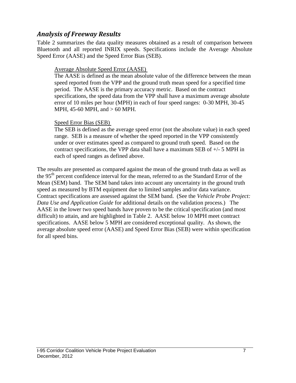#### *Analysis of Freeway Results*

Table 2 summarizes the data quality measures obtained as a result of comparison between Bluetooth and all reported INRIX speeds. Specifications include the Average Absolute Speed Error (AASE) and the Speed Error Bias (SEB).

#### Average Absolute Speed Error (AASE)

The AASE is defined as the mean absolute value of the difference between the mean speed reported from the VPP and the ground truth mean speed for a specified time period. The AASE is the primary accuracy metric. Based on the contract specifications, the speed data from the VPP shall have a maximum average absolute error of 10 miles per hour (MPH) in each of four speed ranges: 0-30 MPH, 30-45 MPH, 45-60 MPH, and > 60 MPH.

#### Speed Error Bias (SEB)

The SEB is defined as the average speed error (not the absolute value) in each speed range. SEB is a measure of whether the speed reported in the VPP consistently under or over estimates speed as compared to ground truth speed. Based on the contract specifications, the VPP data shall have a maximum SEB of +/- 5 MPH in each of speed ranges as defined above.

The results are presented as compared against the mean of the ground truth data as well as the 95<sup>th</sup> percent confidence interval for the mean, referred to as the Standard Error of the Mean (SEM) band. The SEM band takes into account any uncertainty in the ground truth speed as measured by BTM equipment due to limited samples and/or data variance. Contract specifications are assessed against the SEM band. (See the *Vehicle Probe Project: Data Use and Application Guide* for additional details on the validation process.) The AASE in the lower two speed bands have proven to be the critical specification (and most difficult) to attain, and are highlighted in Table 2. AASE below 10 MPH meet contract specifications. AASE below 5 MPH are considered exceptional quality. As shown, the average absolute speed error (AASE) and Speed Error Bias (SEB) were within specification for all speed bins.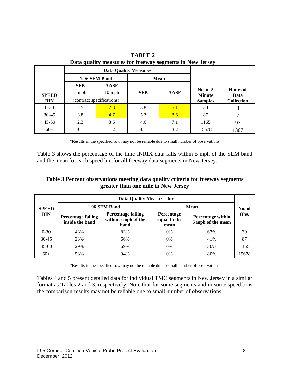|              |            | <b>Data Quality Measures</b> |            |             |                             |                         |  |
|--------------|------------|------------------------------|------------|-------------|-----------------------------|-------------------------|--|
|              |            | 1.96 SEM Band                |            | <b>Mean</b> |                             |                         |  |
|              | <b>SEB</b> | <b>AASE</b>                  |            |             |                             | <b>Hours</b> of<br>Data |  |
| <b>SPEED</b> | 5 mph      | $10$ mph                     | <b>SEB</b> | <b>AASE</b> | No. of $5$<br><b>Minute</b> |                         |  |
| <b>BIN</b>   |            | (contract specifications)    |            |             | <b>Samples</b>              | <b>Collection</b>       |  |
| $0-30$       | 2.5        | 2.8                          | 3.8        | 5.1         | 30                          | 3                       |  |
| $30 - 45$    | 3.8        | 4.7                          | 5.3        | 8.6         | 87                          | 7                       |  |
| $45 - 60$    | 2.3        | 3.6                          | 4.6        | 7.1         | 1165                        | 97                      |  |
| $60+$        | $-0.1$     | 1.2                          | $-0.1$     | 3.2         | 15678                       | 1307                    |  |

**TABLE 2 Data quality measures for freeway segments in New Jersey**

\*Results in the specified row may not be reliable due to small number of observations

Table 3 shows the percentage of the time INRIX data falls within 5 mph of the SEM band and the mean for each speed bin for all freeway data segments in New Jersey.

#### **Table 3 Percent observations meeting data quality criteria for freeway segments greater than one mile in New Jersey**

|              | <b>Data Quality Measures for</b>             |                                                          |                                           |                                               |       |  |  |  |  |
|--------------|----------------------------------------------|----------------------------------------------------------|-------------------------------------------|-----------------------------------------------|-------|--|--|--|--|
| <b>SPEED</b> |                                              | 1.96 SEM Band                                            | <b>Mean</b>                               | No. of                                        |       |  |  |  |  |
| <b>BIN</b>   | <b>Percentage falling</b><br>inside the band | <b>Percentage falling</b><br>within 5 mph of the<br>band | <b>Percentage</b><br>equal to the<br>mean | <b>Percentage within</b><br>5 mph of the mean | Obs.  |  |  |  |  |
| $0 - 30$     | 43%                                          | 83%                                                      | $0\%$                                     | 67%                                           | 30    |  |  |  |  |
| $30 - 45$    | 23%                                          | 66%                                                      | $0\%$                                     | 41%                                           | 87    |  |  |  |  |
| $45-60$      | 29%                                          | 69%                                                      | $0\%$                                     | 30%                                           | 1165  |  |  |  |  |
| $60+$        | 53%                                          | 94%                                                      | $0\%$                                     | 80%                                           | 15678 |  |  |  |  |

\*Results in the specified row may not be reliable due to small number of observations

Tables 4 and 5 present detailed data for individual TMC segments in New Jersey in a similar format as Tables 2 and 3, respectively. Note that for some segments and in some speed bins the comparison results may not be reliable due to small number of observations.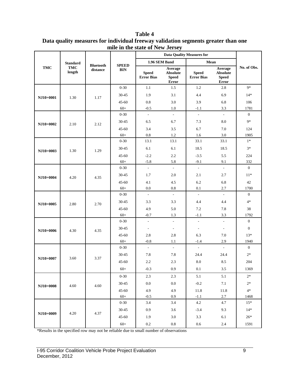|            | <b>Standard</b>      |                              |                            | 1.96 SEM Band                     |                                                     | Mean                              |                                                     |                  |  |
|------------|----------------------|------------------------------|----------------------------|-----------------------------------|-----------------------------------------------------|-----------------------------------|-----------------------------------------------------|------------------|--|
| <b>TMC</b> | <b>TMC</b><br>length | <b>Bluetooth</b><br>distance | <b>SPEED</b><br><b>BIN</b> | <b>Speed</b><br><b>Error Bias</b> | Average<br><b>Absolute</b><br><b>Speed</b><br>Error | <b>Speed</b><br><b>Error Bias</b> | Average<br><b>Absolute</b><br><b>Speed</b><br>Error | No. of Obs.      |  |
|            |                      |                              | $0 - 30$                   | 1.1                               | 1.5                                                 | 1.2                               | 2.8                                                 | $9*$             |  |
| NJ10+0001  | 1.30                 | 1.17                         | $30 - 45$                  | 1.9                               | 3.1                                                 | 4.4                               | 6.9                                                 | $14*$            |  |
|            |                      |                              | $45 - 60$                  | 0.8                               | 3.0                                                 | 3.9                               | 6.8                                                 | 106              |  |
|            |                      |                              | $60+$                      | $-0.5$                            | 1.0                                                 | $-1.1$                            | 3.3                                                 | 1781             |  |
| NJ10+0002  |                      |                              | $0 - 30$                   | L.                                | $\bar{\phantom{a}}$                                 | $\overline{a}$                    | ÷,                                                  | $\mathbf{0}$     |  |
|            | 2.10                 | 2.12                         | $30 - 45$                  | 6.5                               | 6.7                                                 | 7.3                               | 8.0                                                 | $9*$             |  |
|            |                      |                              | $45 - 60$                  | 3.4                               | 3.5                                                 | 6.7                               | 7.0                                                 | 124              |  |
|            |                      |                              | $60+$                      | $0.8\,$                           | 1.2                                                 | 1.6                               | 3.0                                                 | 1905             |  |
|            |                      |                              | $0 - 30$                   | 13.1                              | 13.1                                                | 33.1                              | 33.1                                                | $1*$             |  |
| NJ10+0003  | 1.30                 | 1.29                         | $30 - 45$                  | 6.1                               | 6.1                                                 | 18.5                              | 18.5                                                | $3*$             |  |
|            |                      |                              | $45 - 60$                  | $-2.2$                            | 2.2                                                 | $-3.5$                            | 5.5                                                 | 224              |  |
|            |                      |                              | $60+$                      | $-5.8$                            | 5.8                                                 | $-9.1$                            | 9.1                                                 | 332              |  |
| NJ10+0004  |                      | 4.35                         | $0 - 30$                   | $\Box$                            | $\overline{\phantom{a}}$                            | $\blacksquare$                    | $\blacksquare$                                      | $\boldsymbol{0}$ |  |
|            | 4.20                 |                              | $30 - 45$                  | 1.7                               | 2.0                                                 | 2.1                               | 2.7                                                 | $11*$            |  |
|            |                      |                              | $45 - 60$                  | 4.1                               | 4.5                                                 | 6.2                               | 6.8                                                 | 42               |  |
|            |                      |                              | $60+$                      | 0.0                               | 0.8                                                 | 0.1                               | 2.7                                                 | 1700             |  |
| NJ10+0005  | 2.80                 | 2.70                         | $0 - 30$                   | $\mathbb{Z}^2$                    | $\omega$                                            | $\overline{\phantom{a}}$          | $\mathcal{L}^{\mathcal{A}}$                         | $\overline{0}$   |  |
|            |                      |                              | $30 - 45$                  | 3.3                               | 3.3                                                 | 4.4                               | 4.4                                                 | $4*$             |  |
|            |                      |                              | $45 - 60$                  | 4.9                               | 5.0                                                 | 7.2                               | 7.8                                                 | 38               |  |
|            |                      |                              | $60+$                      | $-0.7$                            | 1.3                                                 | $-1.1$                            | 3.3                                                 | 1792             |  |
|            | 4.30                 | 4.35                         | $0 - 30$                   | $\bar{\phantom{a}}$               | $\mathcal{L}$                                       | $\frac{1}{2}$                     | L.                                                  | $\mathbf{0}$     |  |
| NJ10+0006  |                      |                              | $30 - 45$                  | $\overline{\phantom{a}}$          | $\overline{\phantom{a}}$                            | $\overline{\phantom{a}}$          | $\overline{\phantom{a}}$                            | $\boldsymbol{0}$ |  |
|            |                      |                              | $45 - 60$                  | 2.8                               | 2.8                                                 | 6.3                               | 7.0                                                 | $13*$            |  |
|            |                      |                              | $60+$                      | $-0.8$                            | 1.1                                                 | $-1.4$                            | 2.9                                                 | 1940             |  |
|            |                      |                              | $0 - 30$                   | $\overline{\phantom{a}}$          | $\mathcal{L}$                                       | $\overline{a}$                    | $\mathcal{L}$                                       | $\overline{0}$   |  |
|            |                      | 3.37                         | $30 - 45$                  | 7.8                               | 7.8                                                 | 24.4                              | 24.4                                                | $2*$             |  |
| NJ10+0007  | 3.60                 |                              | $45 - 60$                  | 2.2                               | 2.3                                                 | 8.0                               | 8.5                                                 | 204              |  |
|            |                      |                              | $60+$                      | $-0.3$                            | 0.9                                                 | 0.1                               | 3.5                                                 | 1369             |  |
|            |                      |                              | $0 - 30$                   | 2.3                               | $2.3\,$                                             | 5.1                               | 5.1                                                 | $2^\ast$         |  |
|            |                      | 4.60                         | $30 - 45$                  | $0.0\,$                           | $0.0\,$                                             | $-0.2$                            | $7.1\,$                                             | $2*$             |  |
| NJ10+0008  | 4.60                 |                              | $45 - 60$                  | 4.9                               | 4.9                                                 | 11.8                              | 11.8                                                | $4*$             |  |
|            |                      |                              | $60+$                      | $-0.5$                            | $0.9\,$                                             | $-1.1$                            | $2.7\,$                                             | 1468             |  |
|            |                      |                              | $0 - 30$                   | 3.4                               | 3.4                                                 | 4.2                               | 4.7                                                 | $15*$            |  |
|            |                      |                              | $30 - 45$                  | 0.9                               | 3.6                                                 | $-3.4$                            | 9.3                                                 | $14*$            |  |
| NJ10+0009  | 4.20                 | 4.37                         | $45 - 60$                  | 1.9                               | $3.0\,$                                             | $3.3\,$                           | 6.1                                                 | $26*$            |  |
|            |                      |                              | $60+$                      | $0.2\,$                           | $\rm 0.8$                                           | $0.6\,$                           | $2.4\,$                                             | 1591             |  |

**Table 4 Data quality measures for individual freeway validation segments greater than one mile in the state of New Jersey**

\*Results in the specified row may not be reliable due to small number of observations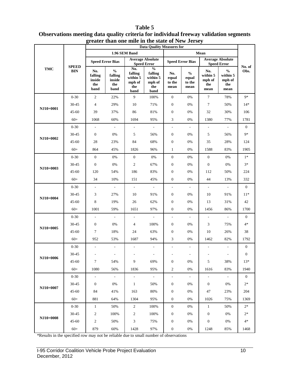#### **TMC SPEED BIN Data Quality Measures for No. of Obs. 1.96 SEM Band Mean Speed Error Bias Average Absolute Speed Error Speed Error Speed Error Bias Average Absolute Speed Error No. falling inside the band % falling inside the band No. falling within 5 mph of the band % falling within 5 mph of the band No. equal to the mean % equal to the mean No. within 5 mph of the mean % within 5 mph of the mean NJ10+0001** 0-30 2 22% 9 100% 0 0% 7 78% 9\* 30-45 4 29% 10 71% 0 0% 7 50% 14\* 45-60 39 37% 86 81% 0 0% 32 30% 106 60+ 1068 60% 1694 95% 3 0% 1380 77% 1781 **NJ10+0002** 0-30 - - - - - - - - - - - - 0 30-45 0 0% 5 56% 0 0% 5 56% 9\* 45-60 28 23% 84 68% 0 0% 35 28% 124 60+ 864 45% 1826 96% 1 0% 1588 83% 1905 **NJ10+0003**  $0-30$  0  $0\%$  0  $0\%$  0  $0\%$  0  $0\%$  0  $0\%$  1\* 30-45 0 0% 2 67% 0 0% 0 0% 3\* 45-60 120 54% 186 83% 0 0% 112 50% 224 60+ 34 10% 151 45% 0 0% 44 13% 332 **NJ10+0004** 0-30 - - - - - - - - - - - - 0 30-45 3 27% 10 91% 0 0% 10 91% 11\* 45-60 8 19% 26 62% 0 0% 13 31% 42 60+ 1001 59% 1651 97% 0 0% 1456 86% 1700 **NJ10+0005** 0-30 - - - - - - - - - - - - 0 30-45 0 0% 4 100% 0 0% 3 75% 4\* 45-60 7 18% 24 63% 0 0% 10 26% 38 60+ 952 53% 1687 94% 3 0% 1462 82% 1792 **NJ10+0006** 0-30 - - - - - - - - - - - - 0  $30-45$  - - - - - - - - - - - 0 45-60 7 54% 9 69% 0 0% 5 38% 13\* 60+ 1080 56% 1836 95% 2 0% 1616 83% 1940 **NJ10+0007** 0-30 - - - - - - - - - - - - 0 30-45 0 0% 1 50% 0 0% 0 0% 2\* 45-60 84 41% 163 80% 0 0% 47 23% 204 60+ 881 64% 1304 95% 0 0% 1026 75% 1369 **NJ10+0008** 0-30 1 50% 2 100% 0 0% 1 50% 2<sup>\*</sup>  $30-45$  2 100% 2 100% 0 0% 0 0% 2\* 45-60 2 50% 3 75% 0 0% 0 0% 4\* 60+ 879 60% 1428 97% 0 0% 1248 85% 1468

#### **Table 5 Observations meeting data quality criteria for individual freeway validation segments greater than one mile in the state of New Jersey**

\*Results in the specified row may not be reliable due to small number of observations